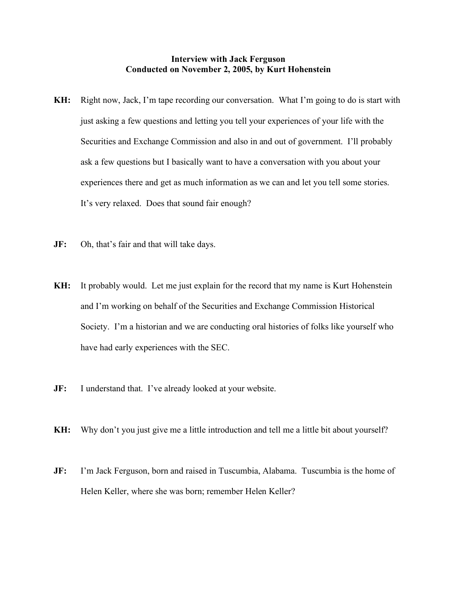## **Interview with Jack Ferguson Conducted on November 2, 2005, by Kurt Hohenstein**

- **KH:** Right now, Jack, I'm tape recording our conversation. What I'm going to do is start with just asking a few questions and letting you tell your experiences of your life with the Securities and Exchange Commission and also in and out of government. I'll probably ask a few questions but I basically want to have a conversation with you about your experiences there and get as much information as we can and let you tell some stories. It's very relaxed. Does that sound fair enough?
- **JF:** Oh, that's fair and that will take days.
- **KH:** It probably would. Let me just explain for the record that my name is Kurt Hohenstein and I'm working on behalf of the Securities and Exchange Commission Historical Society. I'm a historian and we are conducting oral histories of folks like yourself who have had early experiences with the SEC.
- **JF:** I understand that. I've already looked at your website.
- **KH:** Why don't you just give me a little introduction and tell me a little bit about yourself?
- **JF:** I'm Jack Ferguson, born and raised in Tuscumbia, Alabama. Tuscumbia is the home of Helen Keller, where she was born; remember Helen Keller?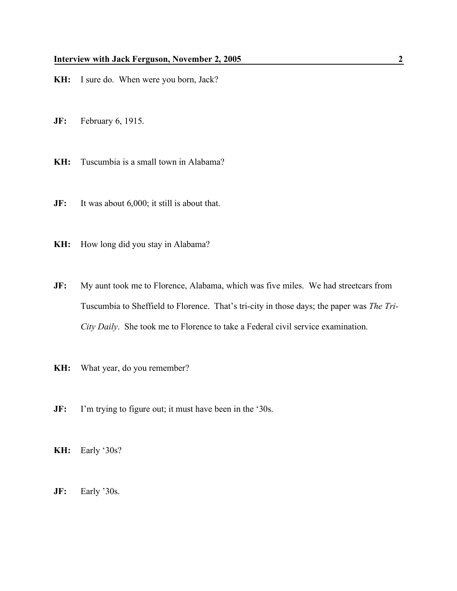- **KH:** I sure do. When were you born, Jack?
- **JF:** February 6, 1915.
- **KH:** Tuscumbia is a small town in Alabama?
- **JF:** It was about 6,000; it still is about that.
- **KH:** How long did you stay in Alabama?
- **JF:** My aunt took me to Florence, Alabama, which was five miles. We had streetcars from Tuscumbia to Sheffield to Florence. That's tri-city in those days; the paper was *The Tri-City Daily*. She took me to Florence to take a Federal civil service examination.
- **KH:** What year, do you remember?
- **JF:** I'm trying to figure out; it must have been in the '30s.
- **KH:** Early '30s?
- **JF:** Early '30s.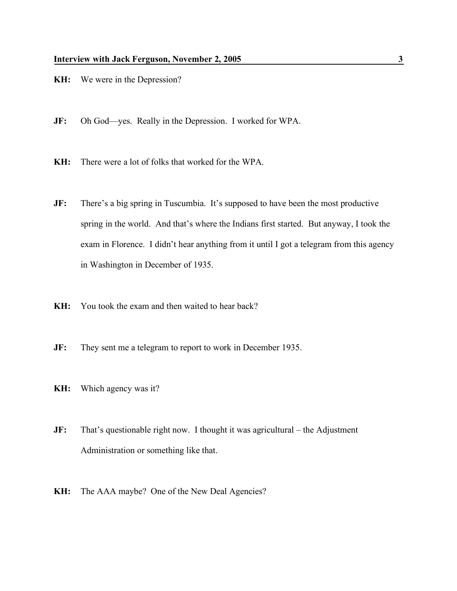- **KH:** We were in the Depression?
- **JF:** Oh God—yes. Really in the Depression. I worked for WPA.
- **KH:** There were a lot of folks that worked for the WPA.
- **JF:** There's a big spring in Tuscumbia. It's supposed to have been the most productive spring in the world. And that's where the Indians first started. But anyway, I took the exam in Florence. I didn't hear anything from it until I got a telegram from this agency in Washington in December of 1935.
- **KH:** You took the exam and then waited to hear back?
- **JF:** They sent me a telegram to report to work in December 1935.
- **KH:** Which agency was it?
- **JF:** That's questionable right now. I thought it was agricultural the Adjustment Administration or something like that.
- **KH:** The AAA maybe? One of the New Deal Agencies?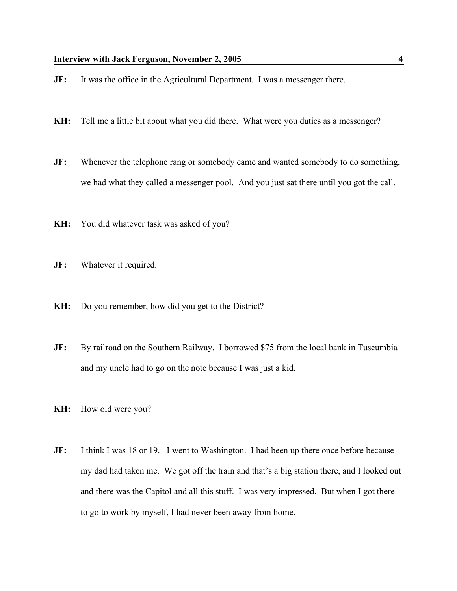- **JF:** It was the office in the Agricultural Department. I was a messenger there.
- **KH:** Tell me a little bit about what you did there. What were you duties as a messenger?
- **JF:** Whenever the telephone rang or somebody came and wanted somebody to do something, we had what they called a messenger pool. And you just sat there until you got the call.
- **KH:** You did whatever task was asked of you?
- **JF:** Whatever it required.
- **KH:** Do you remember, how did you get to the District?
- **JF:** By railroad on the Southern Railway. I borrowed \$75 from the local bank in Tuscumbia and my uncle had to go on the note because I was just a kid.
- **KH:** How old were you?
- **JF:** I think I was 18 or 19. I went to Washington. I had been up there once before because my dad had taken me. We got off the train and that's a big station there, and I looked out and there was the Capitol and all this stuff. I was very impressed. But when I got there to go to work by myself, I had never been away from home.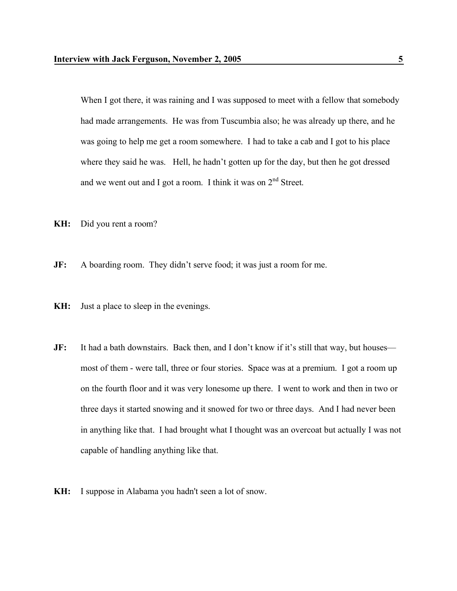When I got there, it was raining and I was supposed to meet with a fellow that somebody had made arrangements. He was from Tuscumbia also; he was already up there, and he was going to help me get a room somewhere. I had to take a cab and I got to his place where they said he was. Hell, he hadn't gotten up for the day, but then he got dressed and we went out and I got a room. I think it was on  $2<sup>nd</sup>$  Street.

- **KH:** Did you rent a room?
- **JF:** A boarding room. They didn't serve food; it was just a room for me.
- **KH:** Just a place to sleep in the evenings.
- **JF:** It had a bath downstairs. Back then, and I don't know if it's still that way, but houses most of them - were tall, three or four stories. Space was at a premium. I got a room up on the fourth floor and it was very lonesome up there. I went to work and then in two or three days it started snowing and it snowed for two or three days. And I had never been in anything like that. I had brought what I thought was an overcoat but actually I was not capable of handling anything like that.
- **KH:** I suppose in Alabama you hadn't seen a lot of snow.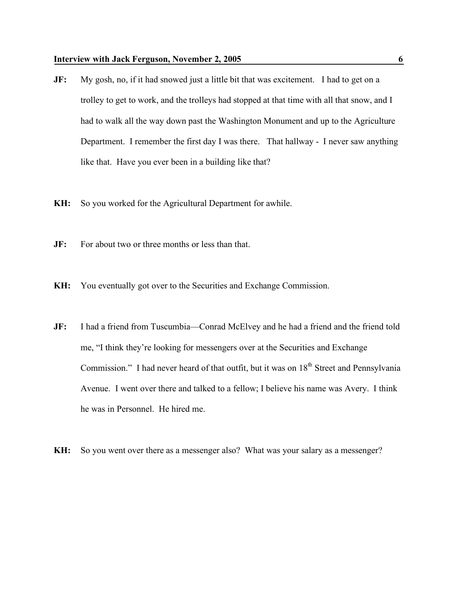- **JF:** My gosh, no, if it had snowed just a little bit that was excitement. I had to get on a trolley to get to work, and the trolleys had stopped at that time with all that snow, and I had to walk all the way down past the Washington Monument and up to the Agriculture Department. I remember the first day I was there. That hallway - I never saw anything like that. Have you ever been in a building like that?
- **KH:** So you worked for the Agricultural Department for awhile.
- **JF:** For about two or three months or less than that.
- **KH:** You eventually got over to the Securities and Exchange Commission.
- **JF:** I had a friend from Tuscumbia—Conrad McElvey and he had a friend and the friend told me, "I think they're looking for messengers over at the Securities and Exchange Commission." I had never heard of that outfit, but it was on  $18<sup>th</sup>$  Street and Pennsylvania Avenue. I went over there and talked to a fellow; I believe his name was Avery. I think he was in Personnel. He hired me.
- **KH:** So you went over there as a messenger also? What was your salary as a messenger?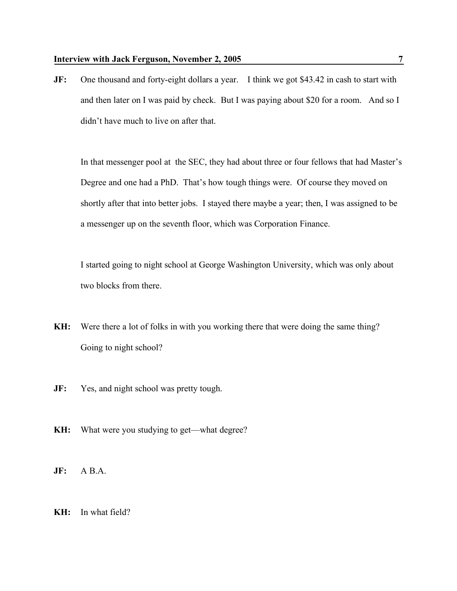**JF:** One thousand and forty-eight dollars a year. I think we got \$43.42 in cash to start with and then later on I was paid by check. But I was paying about \$20 for a room. And so I didn't have much to live on after that.

In that messenger pool at the SEC, they had about three or four fellows that had Master's Degree and one had a PhD. That's how tough things were. Of course they moved on shortly after that into better jobs. I stayed there maybe a year; then, I was assigned to be a messenger up on the seventh floor, which was Corporation Finance.

I started going to night school at George Washington University, which was only about two blocks from there.

- **KH:** Were there a lot of folks in with you working there that were doing the same thing? Going to night school?
- **JF:** Yes, and night school was pretty tough.
- **KH:** What were you studying to get—what degree?
- **JF:** A B.A.
- **KH:** In what field?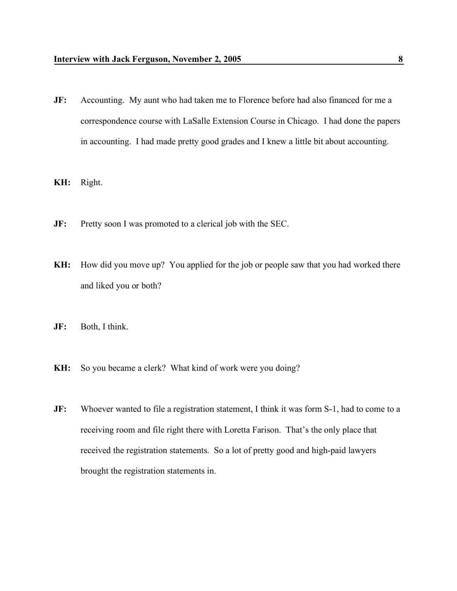- **JF:** Accounting. My aunt who had taken me to Florence before had also financed for me a correspondence course with LaSalle Extension Course in Chicago. I had done the papers in accounting. I had made pretty good grades and I knew a little bit about accounting.
- **KH:** Right.
- **JF:** Pretty soon I was promoted to a clerical job with the SEC.
- **KH:** How did you move up? You applied for the job or people saw that you had worked there and liked you or both?
- **JF:** Both, I think.
- **KH:** So you became a clerk? What kind of work were you doing?
- **JF:** Whoever wanted to file a registration statement, I think it was form S-1, had to come to a receiving room and file right there with Loretta Farison. That's the only place that received the registration statements. So a lot of pretty good and high-paid lawyers brought the registration statements in.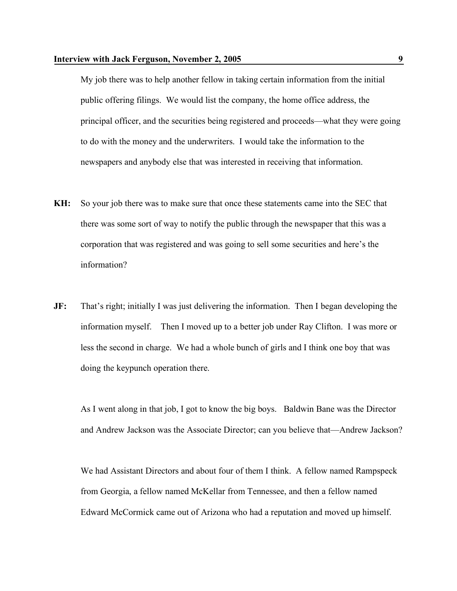My job there was to help another fellow in taking certain information from the initial public offering filings. We would list the company, the home office address, the principal officer, and the securities being registered and proceeds—what they were going to do with the money and the underwriters. I would take the information to the newspapers and anybody else that was interested in receiving that information.

- **KH:** So your job there was to make sure that once these statements came into the SEC that there was some sort of way to notify the public through the newspaper that this was a corporation that was registered and was going to sell some securities and here's the information?
- **JF:** That's right; initially I was just delivering the information. Then I began developing the information myself. Then I moved up to a better job under Ray Clifton. I was more or less the second in charge. We had a whole bunch of girls and I think one boy that was doing the keypunch operation there.

As I went along in that job, I got to know the big boys. Baldwin Bane was the Director and Andrew Jackson was the Associate Director; can you believe that—Andrew Jackson?

We had Assistant Directors and about four of them I think. A fellow named Rampspeck from Georgia, a fellow named McKellar from Tennessee, and then a fellow named Edward McCormick came out of Arizona who had a reputation and moved up himself.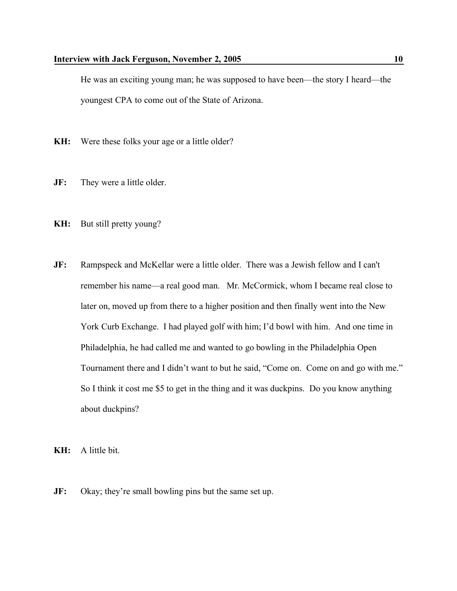He was an exciting young man; he was supposed to have been—the story I heard—the youngest CPA to come out of the State of Arizona.

- **KH:** Were these folks your age or a little older?
- **JF:** They were a little older.
- **KH:** But still pretty young?
- **JF:** Rampspeck and McKellar were a little older. There was a Jewish fellow and I can't remember his name—a real good man. Mr. McCormick, whom I became real close to later on, moved up from there to a higher position and then finally went into the New York Curb Exchange. I had played golf with him; I'd bowl with him. And one time in Philadelphia, he had called me and wanted to go bowling in the Philadelphia Open Tournament there and I didn't want to but he said, "Come on. Come on and go with me." So I think it cost me \$5 to get in the thing and it was duckpins. Do you know anything about duckpins?

**KH:** A little bit.

**JF:** Okay; they're small bowling pins but the same set up.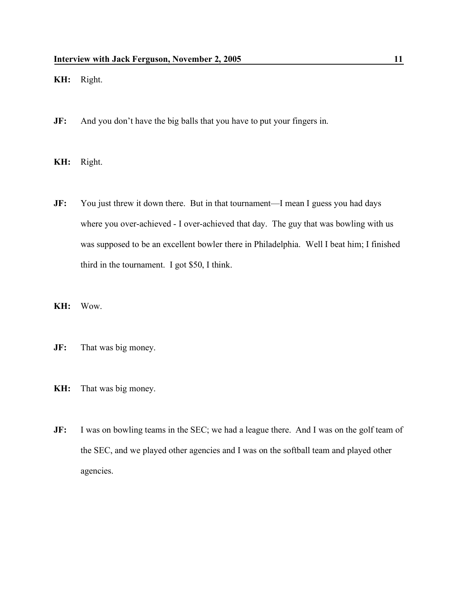**KH:** Right.

- **JF:** And you don't have the big balls that you have to put your fingers in.
- **KH:** Right.
- **JF:** You just threw it down there. But in that tournament—I mean I guess you had days where you over-achieved - I over-achieved that day. The guy that was bowling with us was supposed to be an excellent bowler there in Philadelphia. Well I beat him; I finished third in the tournament. I got \$50, I think.
- **KH:** Wow.
- **JF:** That was big money.
- **KH:** That was big money.
- **JF:** I was on bowling teams in the SEC; we had a league there. And I was on the golf team of the SEC, and we played other agencies and I was on the softball team and played other agencies.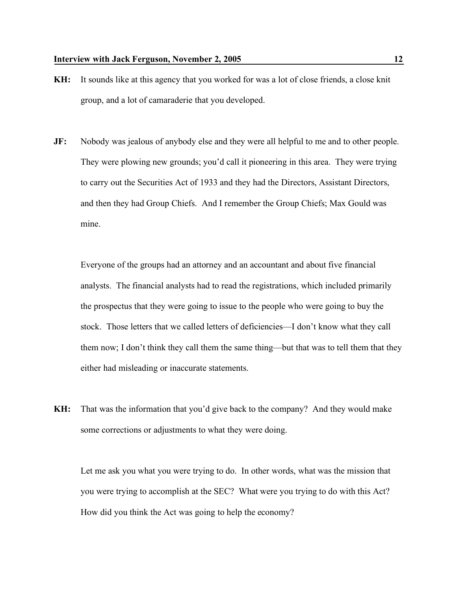- **KH:** It sounds like at this agency that you worked for was a lot of close friends, a close knit group, and a lot of camaraderie that you developed.
- **JF:** Nobody was jealous of anybody else and they were all helpful to me and to other people. They were plowing new grounds; you'd call it pioneering in this area. They were trying to carry out the Securities Act of 1933 and they had the Directors, Assistant Directors, and then they had Group Chiefs. And I remember the Group Chiefs; Max Gould was mine.

Everyone of the groups had an attorney and an accountant and about five financial analysts. The financial analysts had to read the registrations, which included primarily the prospectus that they were going to issue to the people who were going to buy the stock. Those letters that we called letters of deficiencies—I don't know what they call them now; I don't think they call them the same thing—but that was to tell them that they either had misleading or inaccurate statements.

**KH:** That was the information that you'd give back to the company? And they would make some corrections or adjustments to what they were doing.

Let me ask you what you were trying to do. In other words, what was the mission that you were trying to accomplish at the SEC? What were you trying to do with this Act? How did you think the Act was going to help the economy?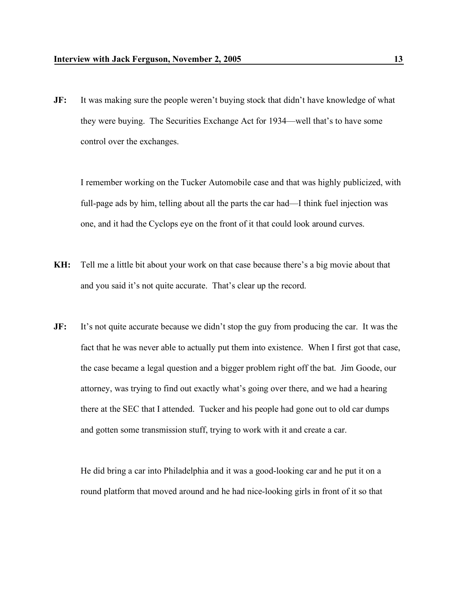**JF:** It was making sure the people weren't buying stock that didn't have knowledge of what they were buying. The Securities Exchange Act for 1934—well that's to have some control over the exchanges.

I remember working on the Tucker Automobile case and that was highly publicized, with full-page ads by him, telling about all the parts the car had—I think fuel injection was one, and it had the Cyclops eye on the front of it that could look around curves.

- **KH:** Tell me a little bit about your work on that case because there's a big movie about that and you said it's not quite accurate. That's clear up the record.
- **JF:** It's not quite accurate because we didn't stop the guy from producing the car. It was the fact that he was never able to actually put them into existence. When I first got that case, the case became a legal question and a bigger problem right off the bat. Jim Goode, our attorney, was trying to find out exactly what's going over there, and we had a hearing there at the SEC that I attended. Tucker and his people had gone out to old car dumps and gotten some transmission stuff, trying to work with it and create a car.

He did bring a car into Philadelphia and it was a good-looking car and he put it on a round platform that moved around and he had nice-looking girls in front of it so that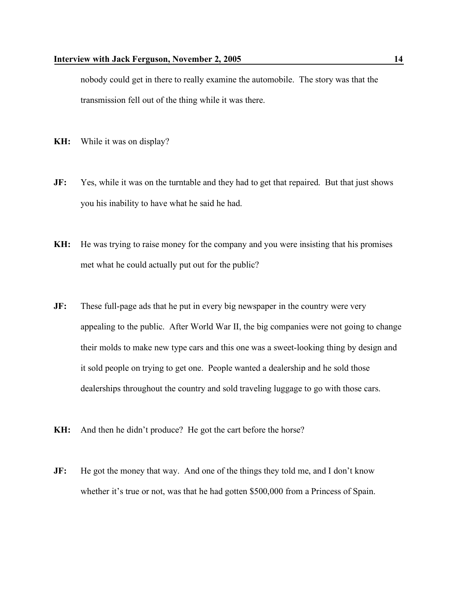nobody could get in there to really examine the automobile. The story was that the transmission fell out of the thing while it was there.

- **KH:** While it was on display?
- **JF:** Yes, while it was on the turntable and they had to get that repaired. But that just shows you his inability to have what he said he had.
- **KH:** He was trying to raise money for the company and you were insisting that his promises met what he could actually put out for the public?
- **JF:** These full-page ads that he put in every big newspaper in the country were very appealing to the public. After World War II, the big companies were not going to change their molds to make new type cars and this one was a sweet-looking thing by design and it sold people on trying to get one. People wanted a dealership and he sold those dealerships throughout the country and sold traveling luggage to go with those cars.
- **KH:** And then he didn't produce? He got the cart before the horse?
- **JF:** He got the money that way. And one of the things they told me, and I don't know whether it's true or not, was that he had gotten \$500,000 from a Princess of Spain.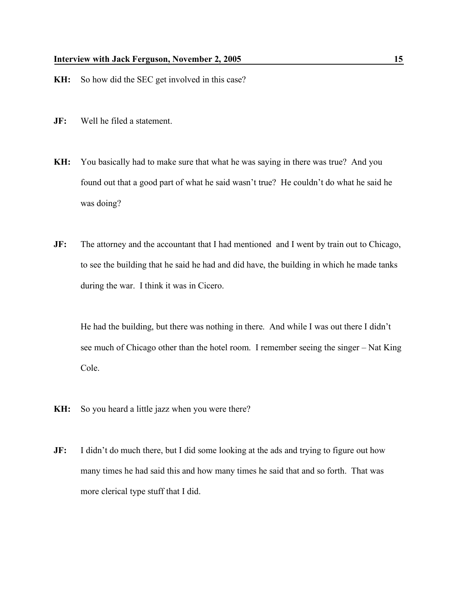- **KH:** So how did the SEC get involved in this case?
- **JF:** Well he filed a statement.
- **KH:** You basically had to make sure that what he was saying in there was true? And you found out that a good part of what he said wasn't true? He couldn't do what he said he was doing?
- **JF:** The attorney and the accountant that I had mentioned and I went by train out to Chicago, to see the building that he said he had and did have, the building in which he made tanks during the war. I think it was in Cicero.

He had the building, but there was nothing in there. And while I was out there I didn't see much of Chicago other than the hotel room. I remember seeing the singer – Nat King Cole.

- **KH:** So you heard a little jazz when you were there?
- **JF:** I didn't do much there, but I did some looking at the ads and trying to figure out how many times he had said this and how many times he said that and so forth. That was more clerical type stuff that I did.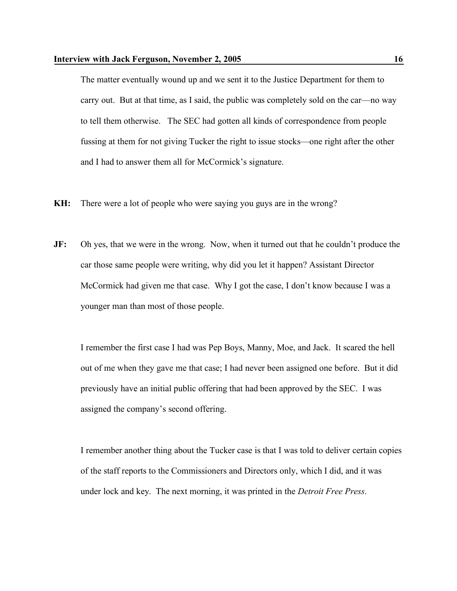The matter eventually wound up and we sent it to the Justice Department for them to carry out. But at that time, as I said, the public was completely sold on the car—no way to tell them otherwise. The SEC had gotten all kinds of correspondence from people fussing at them for not giving Tucker the right to issue stocks—one right after the other and I had to answer them all for McCormick's signature.

- **KH:** There were a lot of people who were saying you guys are in the wrong?
- **JF:** Oh yes, that we were in the wrong. Now, when it turned out that he couldn't produce the car those same people were writing, why did you let it happen? Assistant Director McCormick had given me that case. Why I got the case, I don't know because I was a younger man than most of those people.

I remember the first case I had was Pep Boys, Manny, Moe, and Jack. It scared the hell out of me when they gave me that case; I had never been assigned one before. But it did previously have an initial public offering that had been approved by the SEC. I was assigned the company's second offering.

I remember another thing about the Tucker case is that I was told to deliver certain copies of the staff reports to the Commissioners and Directors only, which I did, and it was under lock and key. The next morning, it was printed in the *Detroit Free Press*.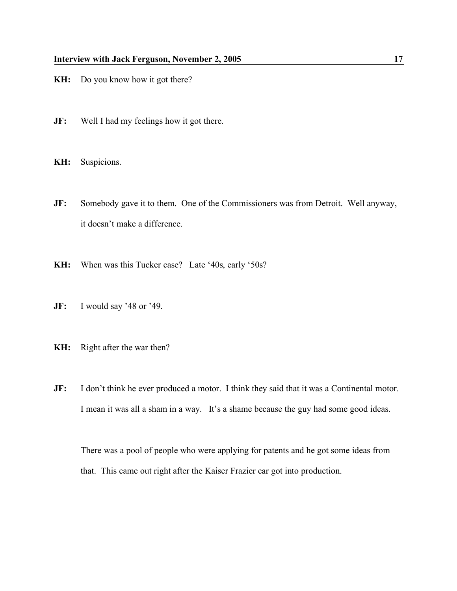- **KH:** Do you know how it got there?
- **JF:** Well I had my feelings how it got there.
- **KH:** Suspicions.
- **JF:** Somebody gave it to them. One of the Commissioners was from Detroit. Well anyway, it doesn't make a difference.
- **KH:** When was this Tucker case? Late '40s, early '50s?
- **JF:** I would say '48 or '49.
- **KH:** Right after the war then?
- **JF:** I don't think he ever produced a motor. I think they said that it was a Continental motor. I mean it was all a sham in a way. It's a shame because the guy had some good ideas.

There was a pool of people who were applying for patents and he got some ideas from that. This came out right after the Kaiser Frazier car got into production.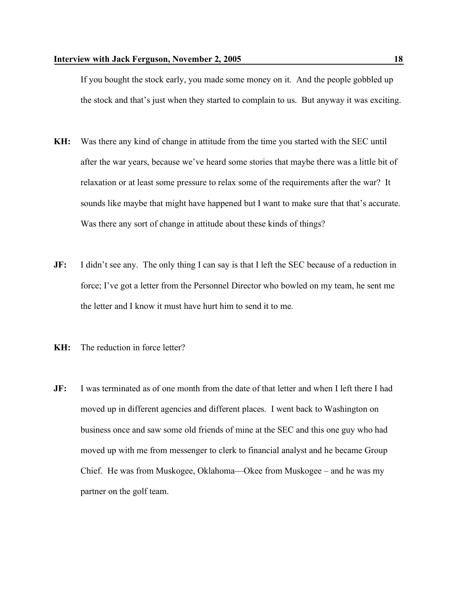If you bought the stock early, you made some money on it. And the people gobbled up the stock and that's just when they started to complain to us. But anyway it was exciting.

- **KH:** Was there any kind of change in attitude from the time you started with the SEC until after the war years, because we've heard some stories that maybe there was a little bit of relaxation or at least some pressure to relax some of the requirements after the war? It sounds like maybe that might have happened but I want to make sure that that's accurate. Was there any sort of change in attitude about these kinds of things?
- **JF:** I didn't see any. The only thing I can say is that I left the SEC because of a reduction in force; I've got a letter from the Personnel Director who bowled on my team, he sent me the letter and I know it must have hurt him to send it to me.
- **KH:** The reduction in force letter?
- **JF:** I was terminated as of one month from the date of that letter and when I left there I had moved up in different agencies and different places. I went back to Washington on business once and saw some old friends of mine at the SEC and this one guy who had moved up with me from messenger to clerk to financial analyst and he became Group Chief. He was from Muskogee, Oklahoma—Okee from Muskogee – and he was my partner on the golf team.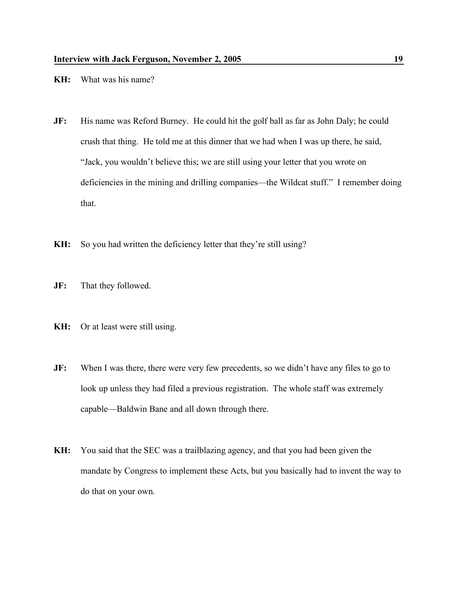- **KH:** What was his name?
- **JF:** His name was Reford Burney. He could hit the golf ball as far as John Daly; he could crush that thing. He told me at this dinner that we had when I was up there, he said, "Jack, you wouldn't believe this; we are still using your letter that you wrote on deficiencies in the mining and drilling companies—the Wildcat stuff." I remember doing that.
- **KH:** So you had written the deficiency letter that they're still using?
- **JF:** That they followed.
- **KH:** Or at least were still using.
- **JF:** When I was there, there were very few precedents, so we didn't have any files to go to look up unless they had filed a previous registration. The whole staff was extremely capable—Baldwin Bane and all down through there.
- **KH:** You said that the SEC was a trailblazing agency, and that you had been given the mandate by Congress to implement these Acts, but you basically had to invent the way to do that on your own.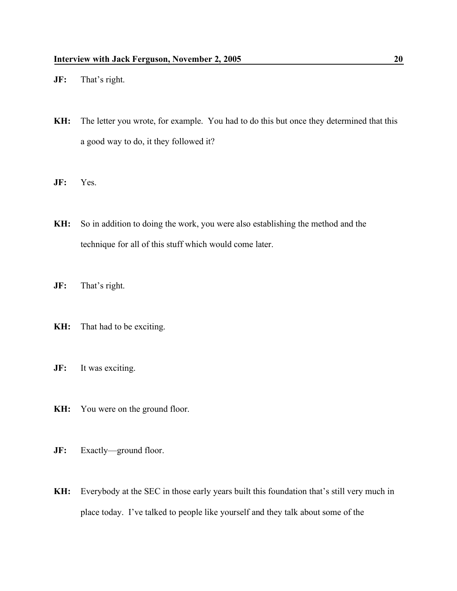- **JF:** That's right.
- **KH:** The letter you wrote, for example. You had to do this but once they determined that this a good way to do, it they followed it?
- **JF:** Yes.
- **KH:** So in addition to doing the work, you were also establishing the method and the technique for all of this stuff which would come later.
- **JF:** That's right.
- **KH:** That had to be exciting.
- **JF:** It was exciting.
- **KH:** You were on the ground floor.
- **JF:** Exactly—ground floor.
- **KH:** Everybody at the SEC in those early years built this foundation that's still very much in place today. I've talked to people like yourself and they talk about some of the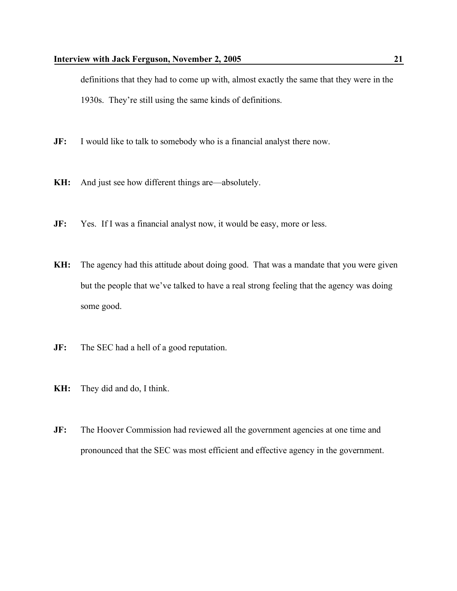definitions that they had to come up with, almost exactly the same that they were in the 1930s. They're still using the same kinds of definitions.

- **JF:** I would like to talk to somebody who is a financial analyst there now.
- **KH:** And just see how different things are—absolutely.
- **JF:** Yes. If I was a financial analyst now, it would be easy, more or less.
- **KH:** The agency had this attitude about doing good. That was a mandate that you were given but the people that we've talked to have a real strong feeling that the agency was doing some good.
- **JF:** The SEC had a hell of a good reputation.
- **KH:** They did and do, I think.
- **JF:** The Hoover Commission had reviewed all the government agencies at one time and pronounced that the SEC was most efficient and effective agency in the government.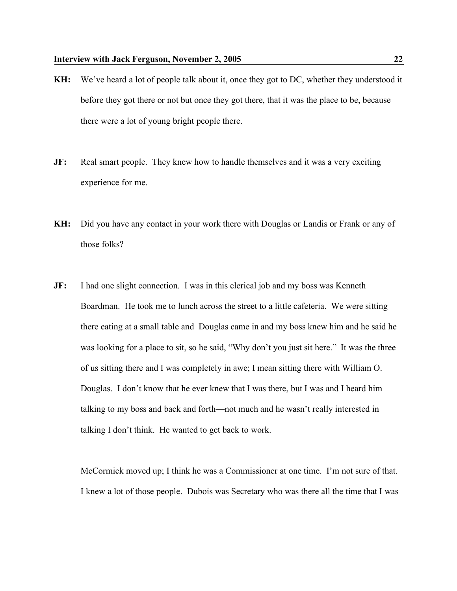- **KH:** We've heard a lot of people talk about it, once they got to DC, whether they understood it before they got there or not but once they got there, that it was the place to be, because there were a lot of young bright people there.
- **JF:** Real smart people. They knew how to handle themselves and it was a very exciting experience for me.
- **KH:** Did you have any contact in your work there with Douglas or Landis or Frank or any of those folks?
- **JF:** I had one slight connection. I was in this clerical job and my boss was Kenneth Boardman. He took me to lunch across the street to a little cafeteria. We were sitting there eating at a small table and Douglas came in and my boss knew him and he said he was looking for a place to sit, so he said, "Why don't you just sit here." It was the three of us sitting there and I was completely in awe; I mean sitting there with William O. Douglas. I don't know that he ever knew that I was there, but I was and I heard him talking to my boss and back and forth—not much and he wasn't really interested in talking I don't think. He wanted to get back to work.

McCormick moved up; I think he was a Commissioner at one time. I'm not sure of that. I knew a lot of those people. Dubois was Secretary who was there all the time that I was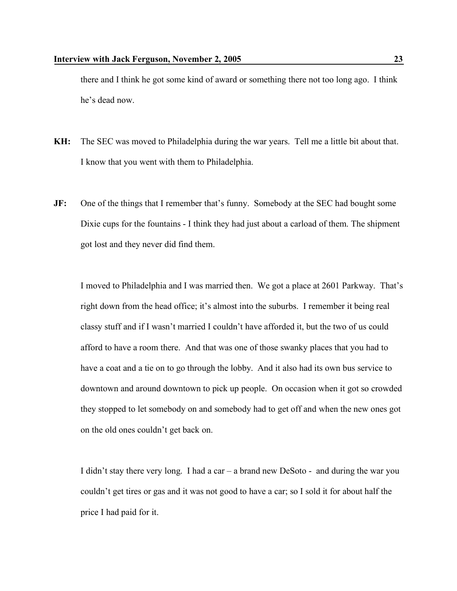there and I think he got some kind of award or something there not too long ago. I think he's dead now.

- **KH:** The SEC was moved to Philadelphia during the war years. Tell me a little bit about that. I know that you went with them to Philadelphia.
- **JF:** One of the things that I remember that's funny. Somebody at the SEC had bought some Dixie cups for the fountains - I think they had just about a carload of them. The shipment got lost and they never did find them.

I moved to Philadelphia and I was married then. We got a place at 2601 Parkway. That's right down from the head office; it's almost into the suburbs. I remember it being real classy stuff and if I wasn't married I couldn't have afforded it, but the two of us could afford to have a room there. And that was one of those swanky places that you had to have a coat and a tie on to go through the lobby. And it also had its own bus service to downtown and around downtown to pick up people. On occasion when it got so crowded they stopped to let somebody on and somebody had to get off and when the new ones got on the old ones couldn't get back on.

I didn't stay there very long. I had a car – a brand new DeSoto - and during the war you couldn't get tires or gas and it was not good to have a car; so I sold it for about half the price I had paid for it.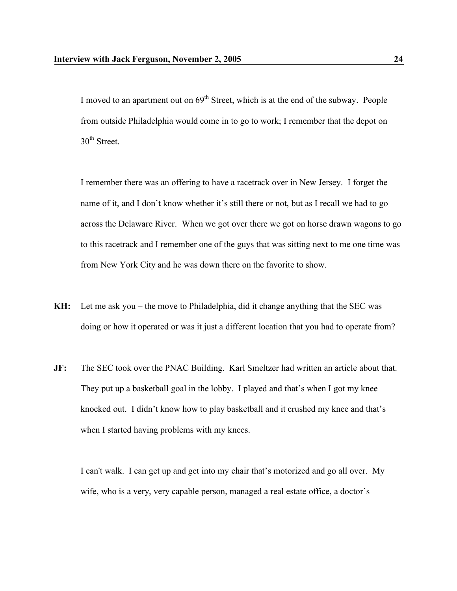I moved to an apartment out on  $69<sup>th</sup>$  Street, which is at the end of the subway. People from outside Philadelphia would come in to go to work; I remember that the depot on  $30<sup>th</sup>$  Street.

I remember there was an offering to have a racetrack over in New Jersey. I forget the name of it, and I don't know whether it's still there or not, but as I recall we had to go across the Delaware River. When we got over there we got on horse drawn wagons to go to this racetrack and I remember one of the guys that was sitting next to me one time was from New York City and he was down there on the favorite to show.

- **KH:** Let me ask you the move to Philadelphia, did it change anything that the SEC was doing or how it operated or was it just a different location that you had to operate from?
- **JF:** The SEC took over the PNAC Building. Karl Smeltzer had written an article about that. They put up a basketball goal in the lobby. I played and that's when I got my knee knocked out. I didn't know how to play basketball and it crushed my knee and that's when I started having problems with my knees.

I can't walk. I can get up and get into my chair that's motorized and go all over. My wife, who is a very, very capable person, managed a real estate office, a doctor's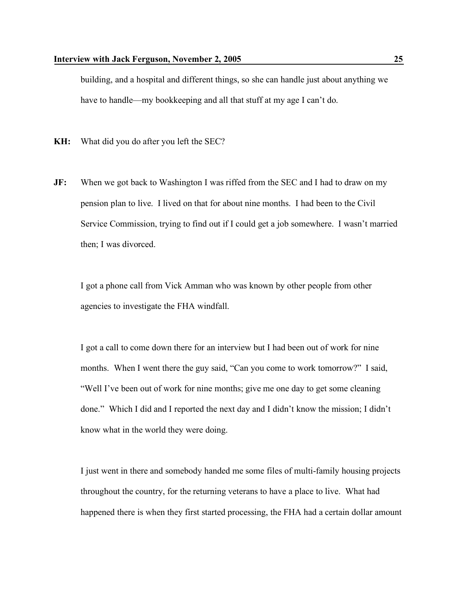building, and a hospital and different things, so she can handle just about anything we have to handle—my bookkeeping and all that stuff at my age I can't do.

**KH:** What did you do after you left the SEC?

**JF:** When we got back to Washington I was riffed from the SEC and I had to draw on my pension plan to live. I lived on that for about nine months. I had been to the Civil Service Commission, trying to find out if I could get a job somewhere. I wasn't married then; I was divorced.

I got a phone call from Vick Amman who was known by other people from other agencies to investigate the FHA windfall.

I got a call to come down there for an interview but I had been out of work for nine months. When I went there the guy said, "Can you come to work tomorrow?" I said, "Well I've been out of work for nine months; give me one day to get some cleaning done." Which I did and I reported the next day and I didn't know the mission; I didn't know what in the world they were doing.

I just went in there and somebody handed me some files of multi-family housing projects throughout the country, for the returning veterans to have a place to live. What had happened there is when they first started processing, the FHA had a certain dollar amount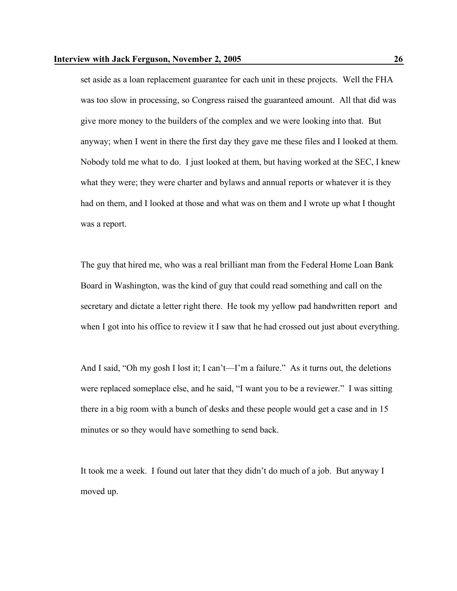set aside as a loan replacement guarantee for each unit in these projects. Well the FHA was too slow in processing, so Congress raised the guaranteed amount. All that did was give more money to the builders of the complex and we were looking into that. But anyway; when I went in there the first day they gave me these files and I looked at them. Nobody told me what to do. I just looked at them, but having worked at the SEC, I knew what they were; they were charter and bylaws and annual reports or whatever it is they had on them, and I looked at those and what was on them and I wrote up what I thought was a report.

The guy that hired me, who was a real brilliant man from the Federal Home Loan Bank Board in Washington, was the kind of guy that could read something and call on the secretary and dictate a letter right there. He took my yellow pad handwritten report and when I got into his office to review it I saw that he had crossed out just about everything.

And I said, "Oh my gosh I lost it; I can't—I'm a failure." As it turns out, the deletions were replaced someplace else, and he said, "I want you to be a reviewer." I was sitting there in a big room with a bunch of desks and these people would get a case and in 15 minutes or so they would have something to send back.

It took me a week. I found out later that they didn't do much of a job. But anyway I moved up.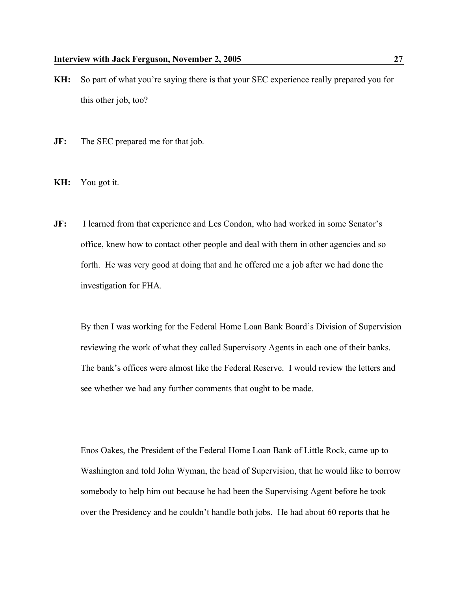- **KH:** So part of what you're saying there is that your SEC experience really prepared you for this other job, too?
- **JF:** The SEC prepared me for that job.
- **KH:** You got it.
- **JF:** I learned from that experience and Les Condon, who had worked in some Senator's office, knew how to contact other people and deal with them in other agencies and so forth. He was very good at doing that and he offered me a job after we had done the investigation for FHA.

By then I was working for the Federal Home Loan Bank Board's Division of Supervision reviewing the work of what they called Supervisory Agents in each one of their banks. The bank's offices were almost like the Federal Reserve. I would review the letters and see whether we had any further comments that ought to be made.

Enos Oakes, the President of the Federal Home Loan Bank of Little Rock, came up to Washington and told John Wyman, the head of Supervision, that he would like to borrow somebody to help him out because he had been the Supervising Agent before he took over the Presidency and he couldn't handle both jobs. He had about 60 reports that he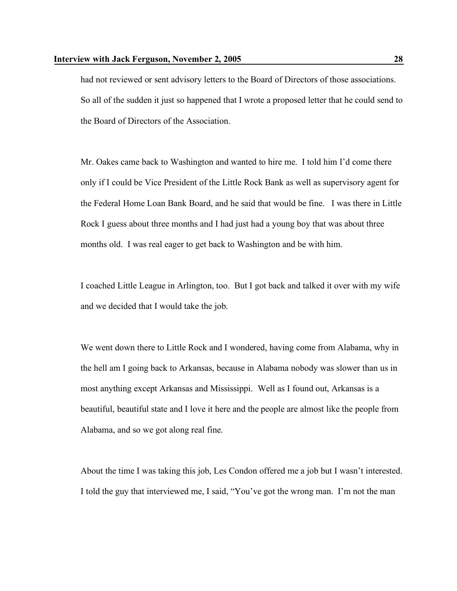had not reviewed or sent advisory letters to the Board of Directors of those associations. So all of the sudden it just so happened that I wrote a proposed letter that he could send to the Board of Directors of the Association.

Mr. Oakes came back to Washington and wanted to hire me. I told him I'd come there only if I could be Vice President of the Little Rock Bank as well as supervisory agent for the Federal Home Loan Bank Board, and he said that would be fine. I was there in Little Rock I guess about three months and I had just had a young boy that was about three months old. I was real eager to get back to Washington and be with him.

I coached Little League in Arlington, too. But I got back and talked it over with my wife and we decided that I would take the job.

We went down there to Little Rock and I wondered, having come from Alabama, why in the hell am I going back to Arkansas, because in Alabama nobody was slower than us in most anything except Arkansas and Mississippi. Well as I found out, Arkansas is a beautiful, beautiful state and I love it here and the people are almost like the people from Alabama, and so we got along real fine.

About the time I was taking this job, Les Condon offered me a job but I wasn't interested. I told the guy that interviewed me, I said, "You've got the wrong man. I'm not the man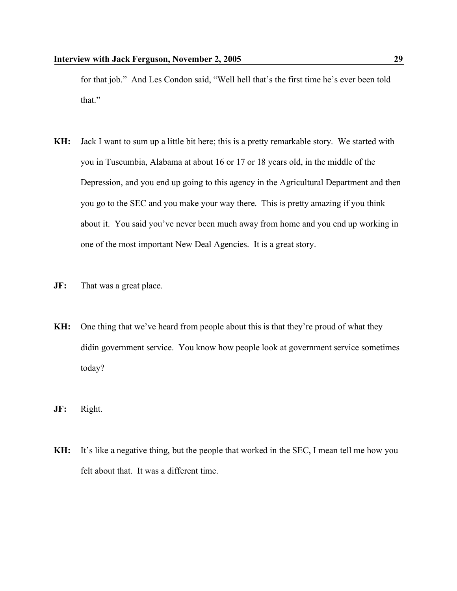for that job." And Les Condon said, "Well hell that's the first time he's ever been told that."

- **KH:** Jack I want to sum up a little bit here; this is a pretty remarkable story. We started with you in Tuscumbia, Alabama at about 16 or 17 or 18 years old, in the middle of the Depression, and you end up going to this agency in the Agricultural Department and then you go to the SEC and you make your way there. This is pretty amazing if you think about it. You said you've never been much away from home and you end up working in one of the most important New Deal Agencies. It is a great story.
- **JF:** That was a great place.
- **KH:** One thing that we've heard from people about this is that they're proud of what they didin government service. You know how people look at government service sometimes today?
- **JF:** Right.
- **KH:** It's like a negative thing, but the people that worked in the SEC, I mean tell me how you felt about that. It was a different time.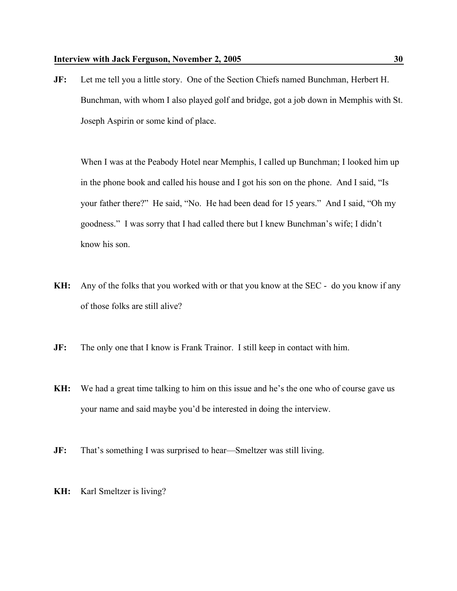**JF:** Let me tell you a little story. One of the Section Chiefs named Bunchman, Herbert H. Bunchman, with whom I also played golf and bridge, got a job down in Memphis with St. Joseph Aspirin or some kind of place.

When I was at the Peabody Hotel near Memphis, I called up Bunchman; I looked him up in the phone book and called his house and I got his son on the phone. And I said, "Is your father there?" He said, "No. He had been dead for 15 years." And I said, "Oh my goodness." I was sorry that I had called there but I knew Bunchman's wife; I didn't know his son.

- **KH:** Any of the folks that you worked with or that you know at the SEC do you know if any of those folks are still alive?
- **JF:** The only one that I know is Frank Trainor. I still keep in contact with him.
- **KH:** We had a great time talking to him on this issue and he's the one who of course gave us your name and said maybe you'd be interested in doing the interview.
- **JF:** That's something I was surprised to hear—Smeltzer was still living.
- **KH:** Karl Smeltzer is living?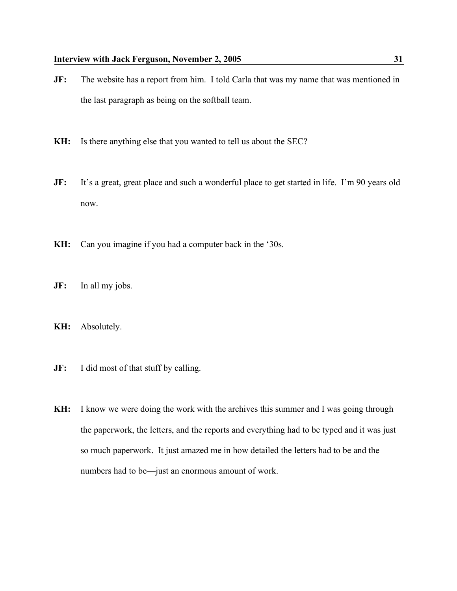- **JF:** The website has a report from him. I told Carla that was my name that was mentioned in the last paragraph as being on the softball team.
- **KH:** Is there anything else that you wanted to tell us about the SEC?
- **JF:** It's a great, great place and such a wonderful place to get started in life. I'm 90 years old now.
- **KH:** Can you imagine if you had a computer back in the '30s.
- **JF:** In all my jobs.
- **KH:** Absolutely.
- **JF:** I did most of that stuff by calling.
- **KH:** I know we were doing the work with the archives this summer and I was going through the paperwork, the letters, and the reports and everything had to be typed and it was just so much paperwork. It just amazed me in how detailed the letters had to be and the numbers had to be—just an enormous amount of work.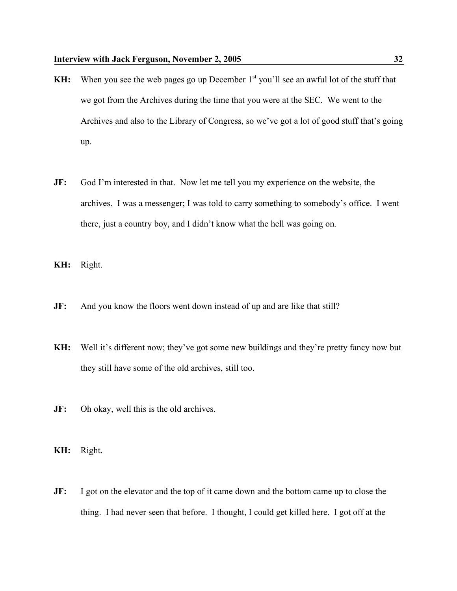- KH: When you see the web pages go up December 1<sup>st</sup> you'll see an awful lot of the stuff that we got from the Archives during the time that you were at the SEC. We went to the Archives and also to the Library of Congress, so we've got a lot of good stuff that's going up.
- **JF:** God I'm interested in that. Now let me tell you my experience on the website, the archives. I was a messenger; I was told to carry something to somebody's office. I went there, just a country boy, and I didn't know what the hell was going on.
- **KH:** Right.
- **JF:** And you know the floors went down instead of up and are like that still?
- **KH:** Well it's different now; they've got some new buildings and they're pretty fancy now but they still have some of the old archives, still too.
- **JF:** Oh okay, well this is the old archives.
- **KH:** Right.
- **JF:** I got on the elevator and the top of it came down and the bottom came up to close the thing. I had never seen that before. I thought, I could get killed here. I got off at the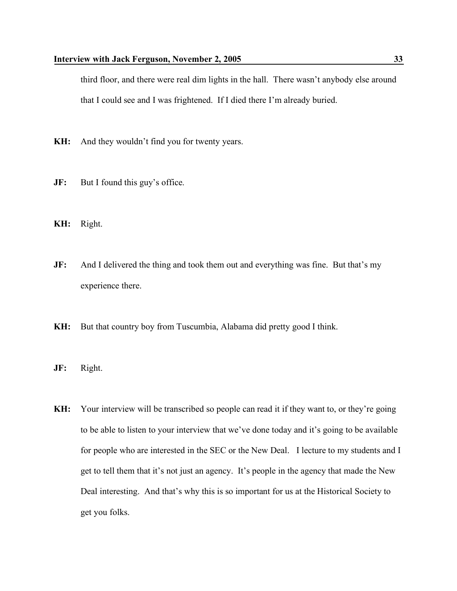third floor, and there were real dim lights in the hall. There wasn't anybody else around that I could see and I was frightened. If I died there I'm already buried.

- **KH:** And they wouldn't find you for twenty years.
- **JF:** But I found this guy's office.
- **KH:** Right.
- **JF:** And I delivered the thing and took them out and everything was fine. But that's my experience there.
- **KH:** But that country boy from Tuscumbia, Alabama did pretty good I think.
- **JF:** Right.
- **KH:** Your interview will be transcribed so people can read it if they want to, or they're going to be able to listen to your interview that we've done today and it's going to be available for people who are interested in the SEC or the New Deal. I lecture to my students and I get to tell them that it's not just an agency. It's people in the agency that made the New Deal interesting. And that's why this is so important for us at the Historical Society to get you folks.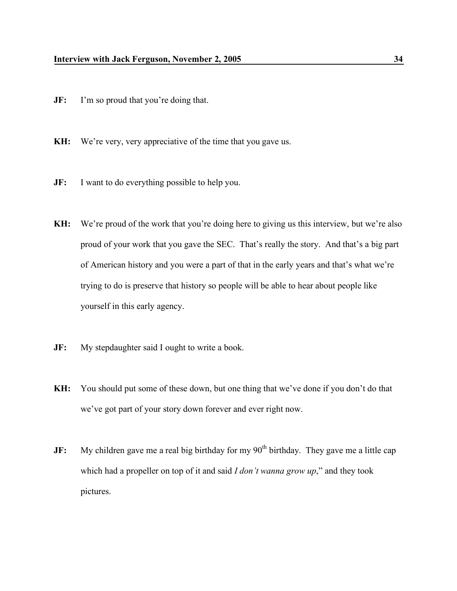- **JF:** I'm so proud that you're doing that.
- **KH:** We're very, very appreciative of the time that you gave us.
- **JF:** I want to do everything possible to help you.
- KH: We're proud of the work that you're doing here to giving us this interview, but we're also proud of your work that you gave the SEC. That's really the story. And that's a big part of American history and you were a part of that in the early years and that's what we're trying to do is preserve that history so people will be able to hear about people like yourself in this early agency.
- **JF:** My stepdaughter said I ought to write a book.
- **KH:** You should put some of these down, but one thing that we've done if you don't do that we've got part of your story down forever and ever right now.
- **JF:** My children gave me a real big birthday for my 90<sup>th</sup> birthday. They gave me a little cap which had a propeller on top of it and said *I don't wanna grow up*," and they took pictures.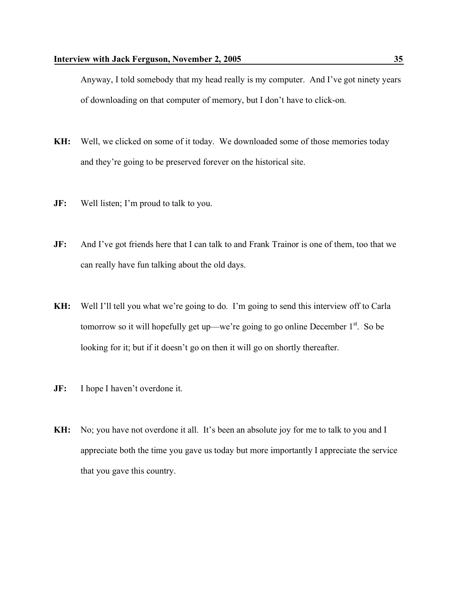Anyway, I told somebody that my head really is my computer. And I've got ninety years of downloading on that computer of memory, but I don't have to click-on.

- **KH:** Well, we clicked on some of it today. We downloaded some of those memories today and they're going to be preserved forever on the historical site.
- **JF:** Well listen; I'm proud to talk to you.
- **JF:** And I've got friends here that I can talk to and Frank Trainor is one of them, too that we can really have fun talking about the old days.
- **KH:** Well I'll tell you what we're going to do. I'm going to send this interview off to Carla tomorrow so it will hopefully get up—we're going to go online December 1<sup>st</sup>. So be looking for it; but if it doesn't go on then it will go on shortly thereafter.
- **JF:** I hope I haven't overdone it.
- **KH:** No; you have not overdone it all. It's been an absolute joy for me to talk to you and I appreciate both the time you gave us today but more importantly I appreciate the service that you gave this country.